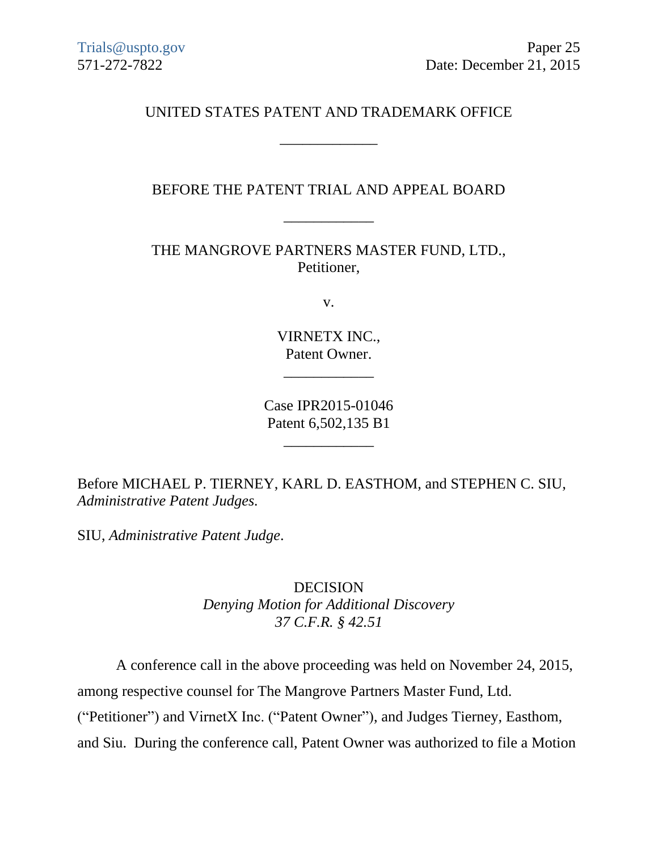UNITED STATES PATENT AND TRADEMARK OFFICE

\_\_\_\_\_\_\_\_\_\_\_\_\_

## BEFORE THE PATENT TRIAL AND APPEAL BOARD

\_\_\_\_\_\_\_\_\_\_\_\_

THE MANGROVE PARTNERS MASTER FUND, LTD., Petitioner,

v.

VIRNETX INC., Patent Owner.

\_\_\_\_\_\_\_\_\_\_\_\_

Case IPR2015-01046 Patent 6,502,135 B1

\_\_\_\_\_\_\_\_\_\_\_\_

Before MICHAEL P. TIERNEY, KARL D. EASTHOM, and STEPHEN C. SIU, *Administrative Patent Judges.*

SIU, *Administrative Patent Judge*.

DECISION *Denying Motion for Additional Discovery 37 C.F.R. § 42.51*

A conference call in the above proceeding was held on November 24, 2015,

among respective counsel for The Mangrove Partners Master Fund, Ltd.

("Petitioner") and VirnetX Inc. ("Patent Owner"), and Judges Tierney, Easthom,

and Siu. During the conference call, Patent Owner was authorized to file a Motion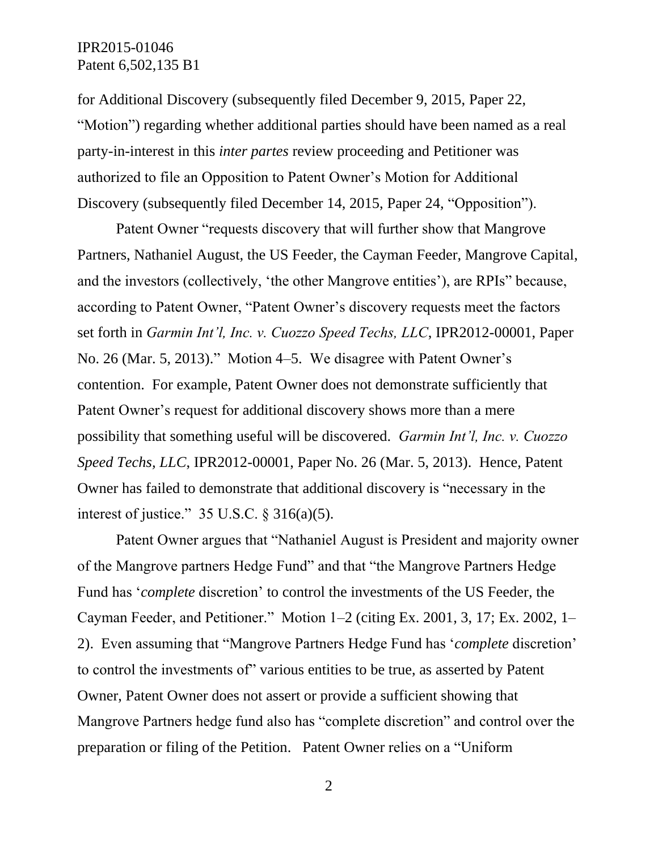for Additional Discovery (subsequently filed December 9, 2015, Paper 22, "Motion") regarding whether additional parties should have been named as a real party-in-interest in this *inter partes* review proceeding and Petitioner was authorized to file an Opposition to Patent Owner's Motion for Additional Discovery (subsequently filed December 14, 2015, Paper 24, "Opposition").

Patent Owner "requests discovery that will further show that Mangrove Partners, Nathaniel August, the US Feeder, the Cayman Feeder, Mangrove Capital, and the investors (collectively, 'the other Mangrove entities'), are RPIs" because, according to Patent Owner, "Patent Owner's discovery requests meet the factors set forth in *Garmin Int'l, Inc. v. Cuozzo Speed Techs, LLC*, IPR2012-00001, Paper No. 26 (Mar. 5, 2013)." Motion 4–5. We disagree with Patent Owner's contention. For example, Patent Owner does not demonstrate sufficiently that Patent Owner's request for additional discovery shows more than a mere possibility that something useful will be discovered. *Garmin Int'l, Inc. v. Cuozzo Speed Techs, LLC*, IPR2012-00001, Paper No. 26 (Mar. 5, 2013). Hence, Patent Owner has failed to demonstrate that additional discovery is "necessary in the interest of justice."  $35 \text{ U.S.C.} \& 316(a)(5)$ .

Patent Owner argues that "Nathaniel August is President and majority owner of the Mangrove partners Hedge Fund" and that "the Mangrove Partners Hedge Fund has '*complete* discretion' to control the investments of the US Feeder, the Cayman Feeder, and Petitioner." Motion 1–2 (citing Ex. 2001, 3, 17; Ex. 2002, 1– 2). Even assuming that "Mangrove Partners Hedge Fund has '*complete* discretion' to control the investments of" various entities to be true, as asserted by Patent Owner, Patent Owner does not assert or provide a sufficient showing that Mangrove Partners hedge fund also has "complete discretion" and control over the preparation or filing of the Petition. Patent Owner relies on a "Uniform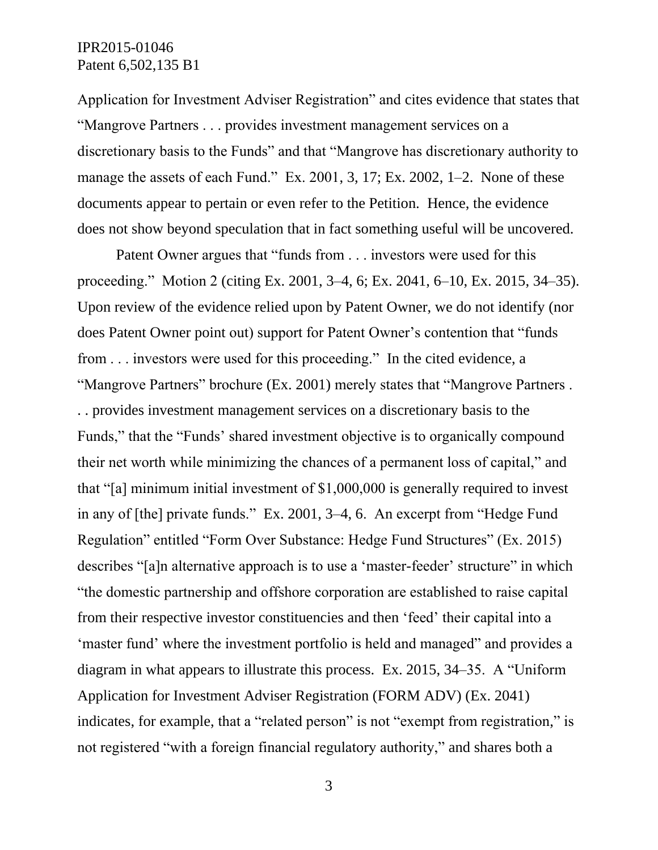Application for Investment Adviser Registration" and cites evidence that states that "Mangrove Partners . . . provides investment management services on a discretionary basis to the Funds" and that "Mangrove has discretionary authority to manage the assets of each Fund." Ex. 2001, 3, 17; Ex. 2002, 1–2. None of these documents appear to pertain or even refer to the Petition. Hence, the evidence does not show beyond speculation that in fact something useful will be uncovered.

Patent Owner argues that "funds from . . . investors were used for this proceeding." Motion 2 (citing Ex. 2001, 3–4, 6; Ex. 2041, 6–10, Ex. 2015, 34–35). Upon review of the evidence relied upon by Patent Owner, we do not identify (nor does Patent Owner point out) support for Patent Owner's contention that "funds from . . . investors were used for this proceeding." In the cited evidence, a "Mangrove Partners" brochure (Ex. 2001) merely states that "Mangrove Partners . . . provides investment management services on a discretionary basis to the Funds," that the "Funds' shared investment objective is to organically compound their net worth while minimizing the chances of a permanent loss of capital," and that "[a] minimum initial investment of \$1,000,000 is generally required to invest in any of [the] private funds." Ex. 2001, 3–4, 6. An excerpt from "Hedge Fund Regulation" entitled "Form Over Substance: Hedge Fund Structures" (Ex. 2015) describes "[a]n alternative approach is to use a 'master-feeder' structure" in which "the domestic partnership and offshore corporation are established to raise capital from their respective investor constituencies and then 'feed' their capital into a 'master fund' where the investment portfolio is held and managed" and provides a diagram in what appears to illustrate this process. Ex. 2015, 34–35. A "Uniform Application for Investment Adviser Registration (FORM ADV) (Ex. 2041) indicates, for example, that a "related person" is not "exempt from registration," is not registered "with a foreign financial regulatory authority," and shares both a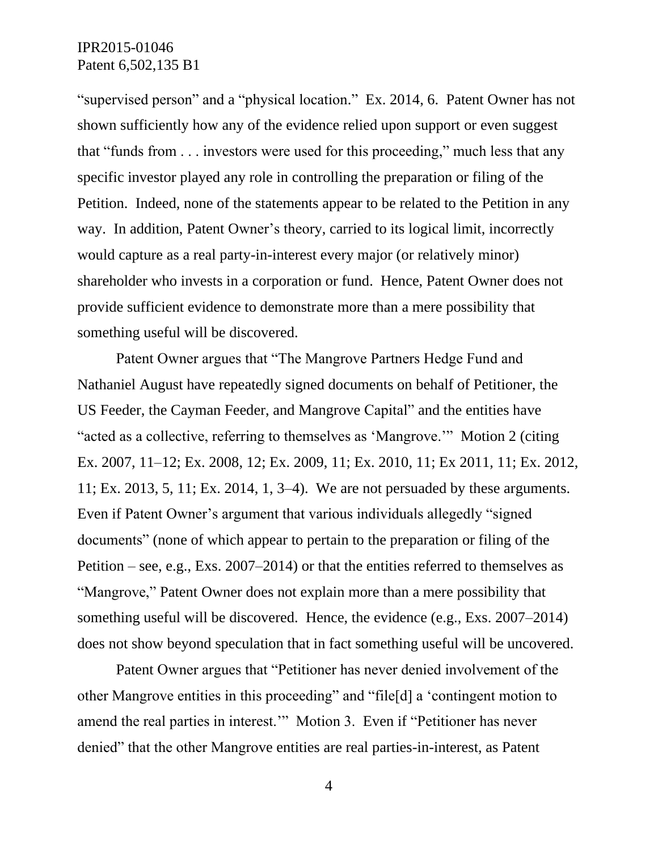"supervised person" and a "physical location." Ex. 2014, 6. Patent Owner has not shown sufficiently how any of the evidence relied upon support or even suggest that "funds from . . . investors were used for this proceeding," much less that any specific investor played any role in controlling the preparation or filing of the Petition. Indeed, none of the statements appear to be related to the Petition in any way. In addition, Patent Owner's theory, carried to its logical limit, incorrectly would capture as a real party-in-interest every major (or relatively minor) shareholder who invests in a corporation or fund. Hence, Patent Owner does not provide sufficient evidence to demonstrate more than a mere possibility that something useful will be discovered.

Patent Owner argues that "The Mangrove Partners Hedge Fund and Nathaniel August have repeatedly signed documents on behalf of Petitioner, the US Feeder, the Cayman Feeder, and Mangrove Capital" and the entities have "acted as a collective, referring to themselves as 'Mangrove.'" Motion 2 (citing Ex. 2007, 11–12; Ex. 2008, 12; Ex. 2009, 11; Ex. 2010, 11; Ex 2011, 11; Ex. 2012, 11; Ex. 2013, 5, 11; Ex. 2014, 1, 3–4). We are not persuaded by these arguments. Even if Patent Owner's argument that various individuals allegedly "signed documents" (none of which appear to pertain to the preparation or filing of the Petition – see, e.g., Exs. 2007–2014) or that the entities referred to themselves as "Mangrove," Patent Owner does not explain more than a mere possibility that something useful will be discovered. Hence, the evidence (e.g., Exs. 2007–2014) does not show beyond speculation that in fact something useful will be uncovered.

Patent Owner argues that "Petitioner has never denied involvement of the other Mangrove entities in this proceeding" and "file[d] a 'contingent motion to amend the real parties in interest.'" Motion 3. Even if "Petitioner has never denied" that the other Mangrove entities are real parties-in-interest, as Patent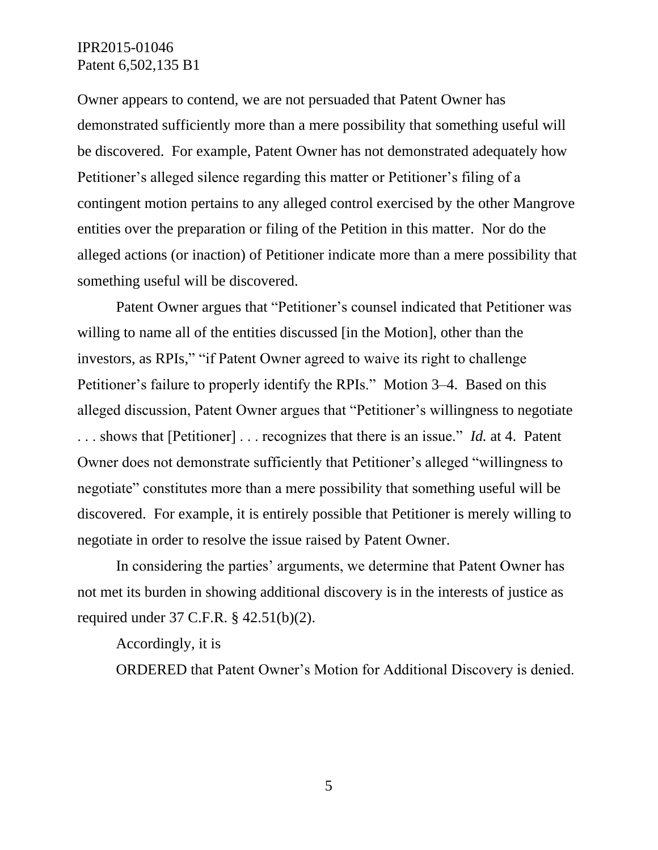Owner appears to contend, we are not persuaded that Patent Owner has demonstrated sufficiently more than a mere possibility that something useful will be discovered. For example, Patent Owner has not demonstrated adequately how Petitioner's alleged silence regarding this matter or Petitioner's filing of a contingent motion pertains to any alleged control exercised by the other Mangrove entities over the preparation or filing of the Petition in this matter. Nor do the alleged actions (or inaction) of Petitioner indicate more than a mere possibility that something useful will be discovered.

Patent Owner argues that "Petitioner's counsel indicated that Petitioner was willing to name all of the entities discussed [in the Motion], other than the investors, as RPIs," "if Patent Owner agreed to waive its right to challenge Petitioner's failure to properly identify the RPIs." Motion 3–4. Based on this alleged discussion, Patent Owner argues that "Petitioner's willingness to negotiate . . . shows that [Petitioner] . . . recognizes that there is an issue." *Id.* at 4. Patent Owner does not demonstrate sufficiently that Petitioner's alleged "willingness to negotiate" constitutes more than a mere possibility that something useful will be discovered. For example, it is entirely possible that Petitioner is merely willing to negotiate in order to resolve the issue raised by Patent Owner.

In considering the parties' arguments, we determine that Patent Owner has not met its burden in showing additional discovery is in the interests of justice as required under 37 C.F.R. § 42.51(b)(2).

#### Accordingly, it is

ORDERED that Patent Owner's Motion for Additional Discovery is denied.